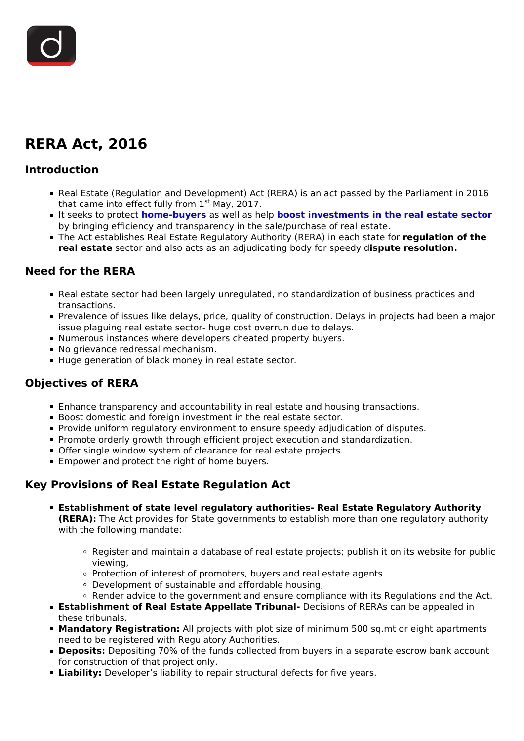

# **RERA Act, 2016**

## **Introduction**

- Real Estate (Regulation and Development) Act (RERA) is an act passed by the Parliament in 2016 that came into effect fully from  $1<sup>st</sup>$  May, 2017.
- It seeks to protect **[home-buyers](/daily-updates/daily-news-analysis/a-special-fund-for-housing-projects)** as well as help **[boost investments in the real estate sector](/loksabha-rajyasabha-discussions/the-big-picture-reviving-real-estate)** by bringing efficiency and transparency in the sale/purchase of real estate.
- The Act establishes Real Estate Regulatory Authority (RERA) in each state for **regulation of the real estate** sector and also acts as an adjudicating body for speedy d**ispute resolution.**

## **Need for the RERA**

- Real estate sector had been largely unregulated, no standardization of business practices and transactions.
- Prevalence of issues like delays, price, quality of construction. Delays in projects had been a major issue plaguing real estate sector- huge cost overrun due to delays.
- Numerous instances where developers cheated property buyers.
- No grievance redressal mechanism.
- Huge generation of black money in real estate sector.

# **Objectives of RERA**

- Enhance transparency and accountability in real estate and housing transactions.
- Boost domestic and foreign investment in the real estate sector.
- **Provide uniform regulatory environment to ensure speedy adjudication of disputes.**
- **Promote orderly growth through efficient project execution and standardization.**
- Offer single window system of clearance for real estate projects.
- **Empower and protect the right of home buyers.**

# **Key Provisions of Real Estate Regulation Act**

- **Establishment of state level regulatory authorities- Real Estate Regulatory Authority (RERA):** The Act provides for State governments to establish more than one regulatory authority with the following mandate:
	- Register and maintain a database of real estate projects; publish it on its website for public viewing,
	- Protection of interest of promoters, buyers and real estate agents
	- Development of sustainable and affordable housing,
	- Render advice to the government and ensure compliance with its Regulations and the Act.
- **Establishment of Real Estate Appellate Tribunal-** Decisions of RERAs can be appealed in these tribunals.
- **Mandatory Registration:** All projects with plot size of minimum 500 sq.mt or eight apartments need to be registered with Regulatory Authorities.
- **Deposits:** Depositing 70% of the funds collected from buyers in a separate escrow bank account for construction of that project only.
- **Liability:** Developer's liability to repair structural defects for five years.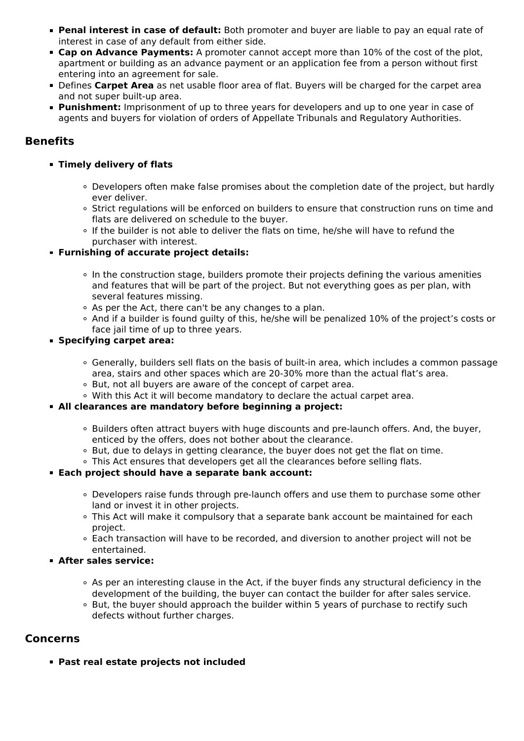- **Penal interest in case of default:** Both promoter and buyer are liable to pay an equal rate of interest in case of any default from either side.
- **Cap on Advance Payments:** A promoter cannot accept more than 10% of the cost of the plot, apartment or building as an advance payment or an application fee from a person without first entering into an agreement for sale.
- Defines **Carpet Area** as net usable floor area of flat. Buyers will be charged for the carpet area and not super built-up area.
- **Punishment:** Imprisonment of up to three years for developers and up to one year in case of agents and buyers for violation of orders of Appellate Tribunals and Regulatory Authorities.

#### **Benefits**

#### **Timely delivery of flats**

- Developers often make false promises about the completion date of the project, but hardly ever deliver.
- Strict regulations will be enforced on builders to ensure that construction runs on time and flats are delivered on schedule to the buyer.
- If the builder is not able to deliver the flats on time, he/she will have to refund the purchaser with interest.

#### **Furnishing of accurate project details:**

- In the construction stage, builders promote their projects defining the various amenities and features that will be part of the project. But not everything goes as per plan, with several features missing.
- As per the Act, there can't be any changes to a plan.
- And if a builder is found guilty of this, he/she will be penalized 10% of the project's costs or face jail time of up to three years.
- **Specifying carpet area:**
	- Generally, builders sell flats on the basis of built-in area, which includes a common passage area, stairs and other spaces which are 20-30% more than the actual flat's area.
	- But, not all buyers are aware of the concept of carpet area.
	- With this Act it will become mandatory to declare the actual carpet area.
- **All clearances are mandatory before beginning a project:**
	- <sup>o</sup> Builders often attract buyers with huge discounts and pre-launch offers. And, the buyer, enticed by the offers, does not bother about the clearance.
	- But, due to delays in getting clearance, the buyer does not get the flat on time.
	- This Act ensures that developers get all the clearances before selling flats.
- **Each project should have a separate bank account:**
	- Developers raise funds through pre-launch offers and use them to purchase some other land or invest it in other projects.
	- This Act will make it compulsory that a separate bank account be maintained for each project.
	- Each transaction will have to be recorded, and diversion to another project will not be entertained.
- **After sales service:**
	- As per an interesting clause in the Act, if the buyer finds any structural deficiency in the development of the building, the buyer can contact the builder for after sales service.
	- But, the buyer should approach the builder within 5 years of purchase to rectify such defects without further charges.

#### **Concerns**

**Past real estate projects not included**